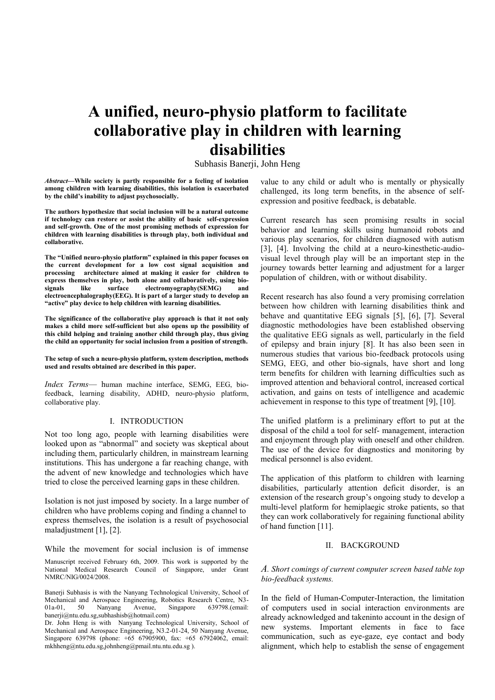# **A unified, neuro-physio platform to facilitate collaborative play in children with learning disabilities**

Subhasis Banerji, John Heng

*Abstract***—While society is partly responsible for a feeling of isolation among children with learning disabilities, this isolation is exacerbated by the child's inability to adjust psychosocially.**

**The authors hypothesize that social inclusion will be a natural outcome if technology can restore or assist the ability of basic self-expression and self-growth. One of the most promising methods of expression for children with learning disabilities is through play, both individual and collaborative.** 

**The "Unified neuro-physio platform" explained in this paper focuses on the current development for a low cost signal acquisition and processing architecture aimed at making it easier for children to express themselves in play, both alone and collaboratively, using biosignals like surface electromyography(SEMG) and electroencephalography(EEG). It is part of a larger study to develop an "active" play device to help children with learning disabilities.**

**The significance of the collaborative play approach is that it not only makes a child more self-sufficient but also opens up the possibility of this child helping and training another child through play, thus giving the child an opportunity for social inclusion from a position of strength.** 

**The setup of such a neuro-physio platform, system description, methods used and results obtained are described in this paper.**

*Index Terms*— human machine interface, SEMG, EEG, biofeedback, learning disability, ADHD, neuro-physio platform, collaborative play.

## I. INTRODUCTION

Not too long ago, people with learning disabilities were looked upon as "abnormal" and society was skeptical about including them, particularly children, in mainstream learning institutions. This has undergone a far reaching change, with the advent of new knowledge and technologies which have tried to close the perceived learning gaps in these children.

Isolation is not just imposed by society. In a large number of children who have problems coping and finding a channel to express themselves, the isolation is a result of psychosocial maladjustment [1], [2].

While the movement for social inclusion is of immense

Manuscript received February 6th, 2009. This work is supported by the National Medical Research Council of Singapore, under Grant NMRC/NIG/0024/2008.

Banerji Subhasis is with the Nanyang Technological University, School of Mechanical and Aerospace Engineering, Robotics Research Centre, N3-01a-01, 50 Nanyang Avenue, Singapore 639798 (email: 50 Nanyang Avenue, Singapore 639798.(email: banerji@ntu.edu.sg,subhashisb@hotmail.com)

Dr. John Heng is with Nanyang Technological University, School of Mechanical and Aerospace Engineering, N3.2-01-24, 50 Nanyang Avenue, Singapore 639798 (phone: +65 67905900, fax: +65 67924062, email: mkhheng@ntu.edu.sg,johnheng@pmail.ntu.ntu.edu.sg ).

value to any child or adult who is mentally or physically challenged, its long term benefits, in the absence of selfexpression and positive feedback, is debatable.

Current research has seen promising results in social behavior and learning skills using humanoid robots and various play scenarios, for children diagnosed with autism [3], [4]. Involving the child at a neuro-kinesthetic-audiovisual level through play will be an important step in the journey towards better learning and adjustment for a larger population of children, with or without disability.

Recent research has also found a very promising correlation between how children with learning disabilities think and behave and quantitative EEG signals [5], [6], [7]. Several diagnostic methodologies have been established observing the qualitative EEG signals as well, particularly in the field of epilepsy and brain injury [8]. It has also been seen in numerous studies that various bio-feedback protocols using SEMG, EEG, and other bio-signals, have short and long term benefits for children with learning difficulties such as improved attention and behavioral control, increased cortical activation, and gains on tests of intelligence and academic achievement in response to this type of treatment [9], [10].

The unified platform is a preliminary effort to put at the disposal of the child a tool for self- management, interaction and enjoyment through play with oneself and other children. The use of the device for diagnostics and monitoring by medical personnel is also evident.

The application of this platform to children with learning disabilities, particularly attention deficit disorder, is an extension of the research group's ongoing study to develop a multi-level platform for hemiplaegic stroke patients, so that they can work collaboratively for regaining functional ability of hand function [11].

## II. BACKGROUND

# *A. Short comings of current computer screen based table top bio-feedback systems.*

In the field of Human-Computer-Interaction, the limitation of computers used in social interaction environments are already acknowledged and takeninto account in the design of new systems. Important elements in face to face communication, such as eye-gaze, eye contact and body alignment, which help to establish the sense of engagement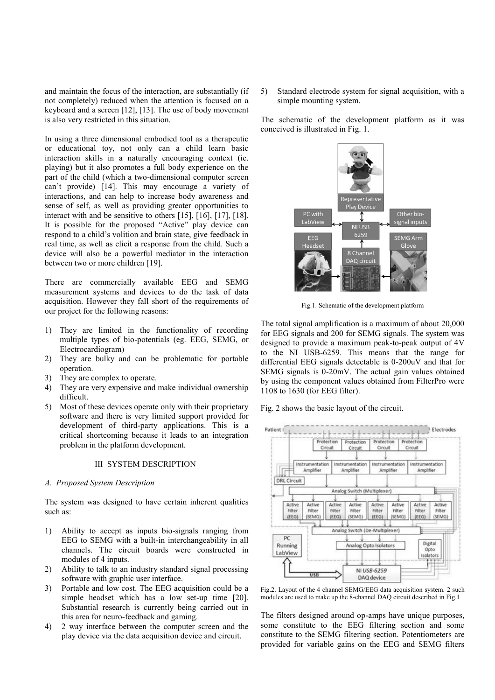and maintain the focus of the interaction, are substantially (if not completely) reduced when the attention is focused on a keyboard and a screen [12], [13]. The use of body movement is also very restricted in this situation.

In using a three dimensional embodied tool as a therapeutic or educational toy, not only can a child learn basic interaction skills in a naturally encouraging context (ie. playing) but it also promotes a full body experience on the part of the child (which a two-dimensional computer screen can't provide) [14]. This may encourage a variety of interactions, and can help to increase body awareness and sense of self, as well as providing greater opportunities to interact with and be sensitive to others [15], [16], [17], [18]. It is possible for the proposed "Active" play device can respond to a child's volition and brain state, give feedback in real time, as well as elicit a response from the child. Such a device will also be a powerful mediator in the interaction between two or more children [19].

There are commercially available EEG and SEMG measurement systems and devices to do the task of data acquisition. However they fall short of the requirements of our project for the following reasons:

- 1) They are limited in the functionality of recording multiple types of bio-potentials (eg. EEG, SEMG, or Electrocardiogram)
- 2) They are bulky and can be problematic for portable operation.
- 3) They are complex to operate.
- 4) They are very expensive and make individual ownership difficult.
- 5) Most of these devices operate only with their proprietary software and there is very limited support provided for development of third-party applications. This is a critical shortcoming because it leads to an integration problem in the platform development.

#### III SYSTEM DESCRIPTION

## *A. Proposed System Description*

The system was designed to have certain inherent qualities such as:

- 1) Ability to accept as inputs bio-signals ranging from EEG to SEMG with a built-in interchangeability in all channels. The circuit boards were constructed in modules of 4 inputs.
- 2) Ability to talk to an industry standard signal processing software with graphic user interface.
- 3) Portable and low cost. The EEG acquisition could be a simple headset which has a low set-up time [20]. Substantial research is currently being carried out in this area for neuro-feedback and gaming.
- 4) 2 way interface between the computer screen and the play device via the data acquisition device and circuit.

5) Standard electrode system for signal acquisition, with a simple mounting system.

The schematic of the development platform as it was conceived is illustrated in Fig. 1.



Fig.1. Schematic of the development platform

The total signal amplification is a maximum of about 20,000 for EEG signals and 200 for SEMG signals. The system was designed to provide a maximum peak-to-peak output of 4V to the NI USB-6259. This means that the range for differential EEG signals detectable is 0-200uV and that for SEMG signals is 0-20mV. The actual gain values obtained by using the component values obtained from FilterPro were 1108 to 1630 (for EEG filter).

Fig. 2 shows the basic layout of the circuit.



Fig.2. Layout of the 4 channel SEMG/EEG data acquisition system. 2 such modules are used to make up the 8-channel DAQ circuit described in Fig.1

The filters designed around op-amps have unique purposes, some constitute to the EEG filtering section and some constitute to the SEMG filtering section. Potentiometers are provided for variable gains on the EEG and SEMG filters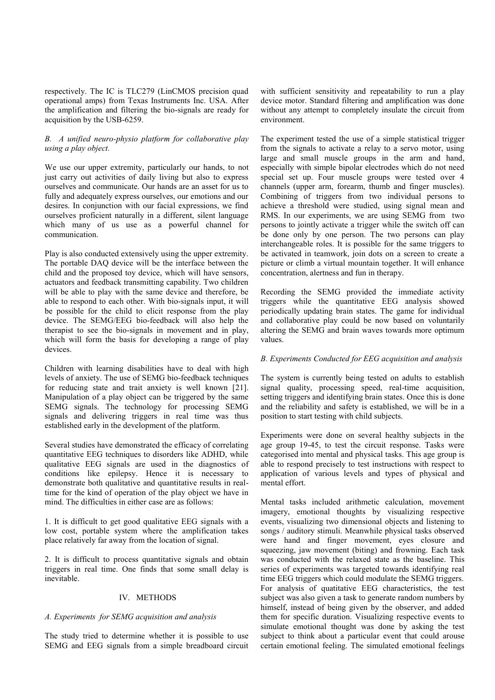respectively. The IC is TLC279 (LinCMOS precision quad operational amps) from Texas Instruments Inc. USA. After the amplification and filtering the bio-signals are ready for acquisition by the USB-6259.

# *B. A unified neuro-physio platform for collaborative play using a play object.*

We use our upper extremity, particularly our hands, to not just carry out activities of daily living but also to express ourselves and communicate. Our hands are an asset for us to fully and adequately express ourselves, our emotions and our desires. In conjunction with our facial expressions, we find ourselves proficient naturally in a different, silent language which many of us use as a powerful channel for communication.

Play is also conducted extensively using the upper extremity. The portable DAQ device will be the interface between the child and the proposed toy device, which will have sensors, actuators and feedback transmitting capability. Two children will be able to play with the same device and therefore, be able to respond to each other. With bio-signals input, it will be possible for the child to elicit response from the play device. The SEMG/EEG bio-feedback will also help the therapist to see the bio-signals in movement and in play, which will form the basis for developing a range of play devices.

Children with learning disabilities have to deal with high levels of anxiety. The use of SEMG bio-feedback techniques for reducing state and trait anxiety is well known [21]. Manipulation of a play object can be triggered by the same SEMG signals. The technology for processing SEMG signals and delivering triggers in real time was thus established early in the development of the platform.

Several studies have demonstrated the efficacy of correlating quantitative EEG techniques to disorders like ADHD, while qualitative EEG signals are used in the diagnostics of conditions like epilepsy. Hence it is necessary to demonstrate both qualitative and quantitative results in realtime for the kind of operation of the play object we have in mind. The difficulties in either case are as follows:

1. It is difficult to get good qualitative EEG signals with a low cost, portable system where the amplification takes place relatively far away from the location of signal.

2. It is difficult to process quantitative signals and obtain triggers in real time. One finds that some small delay is inevitable.

## IV. METHODS

#### *A. Experiments for SEMG acquisition and analysis*

The study tried to determine whether it is possible to use SEMG and EEG signals from a simple breadboard circuit with sufficient sensitivity and repeatability to run a play device motor. Standard filtering and amplification was done without any attempt to completely insulate the circuit from environment.

The experiment tested the use of a simple statistical trigger from the signals to activate a relay to a servo motor, using large and small muscle groups in the arm and hand, especially with simple bipolar electrodes which do not need special set up. Four muscle groups were tested over 4 channels (upper arm, forearm, thumb and finger muscles). Combining of triggers from two individual persons to achieve a threshold were studied, using signal mean and RMS. In our experiments, we are using SEMG from two persons to jointly activate a trigger while the switch off can be done only by one person. The two persons can play interchangeable roles. It is possible for the same triggers to be activated in teamwork, join dots on a screen to create a picture or climb a virtual mountain together. It will enhance concentration, alertness and fun in therapy.

Recording the SEMG provided the immediate activity triggers while the quantitative EEG analysis showed periodically updating brain states. The game for individual and collaborative play could be now based on voluntarily altering the SEMG and brain waves towards more optimum values.

# *B. Experiments Conducted for EEG acquisition and analysis*

The system is currently being tested on adults to establish signal quality, processing speed, real-time acquisition, setting triggers and identifying brain states. Once this is done and the reliability and safety is established, we will be in a position to start testing with child subjects.

Experiments were done on several healthy subjects in the age group 19-45, to test the circuit response. Tasks were categorised into mental and physical tasks. This age group is able to respond precisely to test instructions with respect to application of various levels and types of physical and mental effort.

Mental tasks included arithmetic calculation, movement imagery, emotional thoughts by visualizing respective events, visualizing two dimensional objects and listening to songs / auditory stimuli. Meanwhile physical tasks observed were hand and finger movement, eyes closure and squeezing, jaw movement (biting) and frowning. Each task was conducted with the relaxed state as the baseline. This series of experiments was targeted towards identifying real time EEG triggers which could modulate the SEMG triggers. For analysis of quatitative EEG characteristics, the test subject was also given a task to generate random numbers by himself, instead of being given by the observer, and added them for specific duration. Visualizing respective events to simulate emotional thought was done by asking the test subject to think about a particular event that could arouse certain emotional feeling. The simulated emotional feelings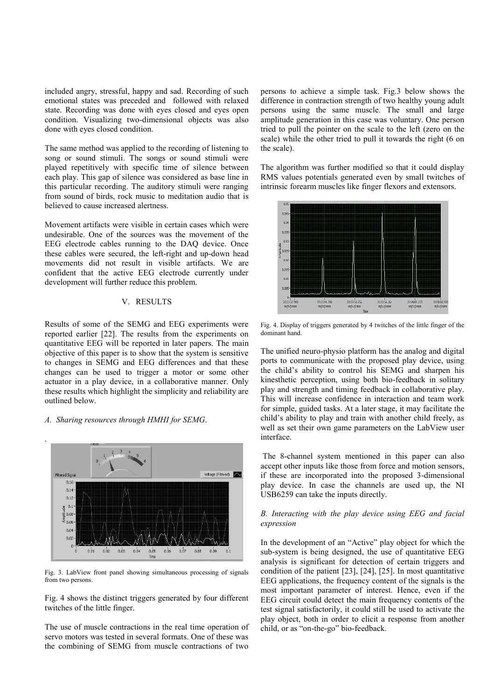included angry, stressful, happy and sad. Recording of such emotional states was preceded and followed with relaxed state. Recording was done with eyes closed and eyes open condition. Visualizing two-dimensional objects was also done with eyes closed condition.

The same method was applied to the recording of listening to song or sound stimuli. The songs or sound stimuli were played repetitively with specific time of silence between each play. This gap of silence was considered as base line in this particular recording. The auditory stimuli were ranging from sound of birds, rock music to meditation audio that is believed to cause increased alertness.

Movement artifacts were visible in certain cases which were undesirable. One of the sources was the movement of the EEG electrode cables running to the DAQ device. Once these cables were secured, the left-right and up-down head movements did not result in visible artifacts. We are confident that the active EEG electrode currently under development will further reduce this problem.

## V. RESULTS

Results of some of the SEMG and EEG experiments were reported earlier [22]. The results from the experiments on quantitative EEG will be reported in later papers. The main objective of this paper is to show that the system is sensitive to changes in SEMG and EEG differences and that these changes can be used to trigger a motor or some other actuator in a play device, in a collaborative manner. Only these results which highlight the simplicity and reliability are outlined below.

*A. Sharing resources through HMHI for SEMG*.



Fig. 3. LabView front panel showing simultaneous processing of signals from two persons.

Fig. 4 shows the distinct triggers generated by four different twitches of the little finger.

The use of muscle contractions in the real time operation of servo motors was tested in several formats. One of these was the combining of SEMG from muscle contractions of two

persons to achieve a simple task. Fig.3 below shows the difference in contraction strength of two healthy young adult persons using the same muscle. The small and large amplitude generation in this case was voluntary. One person tried to pull the pointer on the scale to the left (zero on the scale) while the other tried to pull it towards the right (6 on the scale).

The algorithm was further modified so that it could display RMS values potentials generated even by small twitches of intrinsic forearm muscles like finger flexors and extensors.



Fig. 4. Display of triggers generated by 4 twitches of the little finger of the dominant hand.

The unified neuro-physio platform has the analog and digital ports to communicate with the proposed play device, using the child's ability to control his SEMG and sharpen his kinesthetic perception, using both bio-feedback in solitary play and strength and timing feedback in collaborative play. This will increase confidence in interaction and team work for simple, guided tasks. At a later stage, it may facilitate the child's ability to play and train with another child freely, as well as set their own game parameters on the LabView user interface.

The 8-channel system mentioned in this paper can also accept other inputs like those from force and motion sensors, if these are incorporated into the proposed 3-dimensional play device. In case the channels are used up, the NI USB6259 can take the inputs directly.

# *B. Interacting with the play device using EEG and facial expression*

In the development of an "Active" play object for which the sub-system is being designed, the use of quantitative EEG analysis is significant for detection of certain triggers and condition of the patient [23], [24], [25]. In most quantitative EEG applications, the frequency content of the signals is the most important parameter of interest. Hence, even if the EEG circuit could detect the main frequency contents of the test signal satisfactorily, it could still be used to activate the play object, both in order to elicit a response from another child, or as "on-the-go" bio-feedback.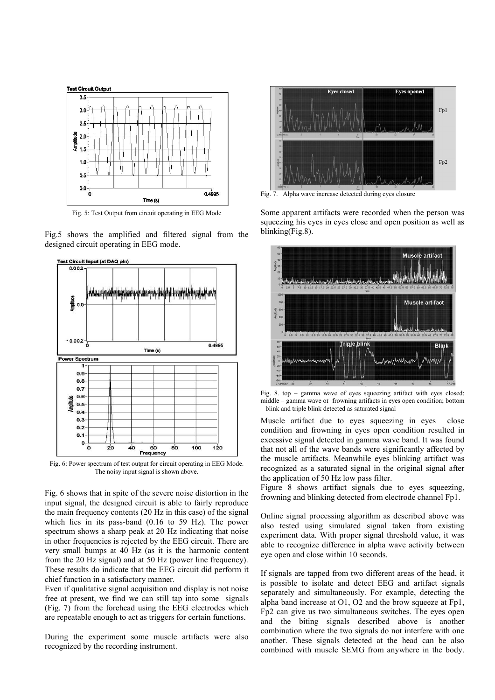

Fig. 5: Test Output from circuit operating in EEG Mode

Fig.5 shows the amplified and filtered signal from the designed circuit operating in EEG mode.



Fig. 6: Power spectrum of test output for circuit operating in EEG Mode. The noisy input signal is shown above.

Fig. 6 shows that in spite of the severe noise distortion in the input signal, the designed circuit is able to fairly reproduce the main frequency contents (20 Hz in this case) of the signal which lies in its pass-band (0.16 to 59 Hz). The power spectrum shows a sharp peak at 20 Hz indicating that noise in other frequencies is rejected by the EEG circuit. There are very small bumps at 40 Hz (as it is the harmonic content from the 20 Hz signal) and at 50 Hz (power line frequency). These results do indicate that the EEG circuit did perform it chief function in a satisfactory manner.

Even if qualitative signal acquisition and display is not noise free at present, we find we can still tap into some signals (Fig. 7) from the forehead using the EEG electrodes which are repeatable enough to act as triggers for certain functions.

During the experiment some muscle artifacts were also recognized by the recording instrument.



Fig. 7. Alpha wave increase detected during eyes closure

Some apparent artifacts were recorded when the person was squeezing his eyes in eyes close and open position as well as blinking(Fig.8).



Fig. 8. top – gamma wave of eyes squeezing artifact with eyes closed; middle – gamma wave of frowning artifacts in eyes open condition; bottom – blink and triple blink detected as saturated signal

Muscle artifact due to eyes squeezing in eyes close condition and frowning in eyes open condition resulted in excessive signal detected in gamma wave band. It was found that not all of the wave bands were significantly affected by the muscle artifacts. Meanwhile eyes blinking artifact was recognized as a saturated signal in the original signal after the application of 50 Hz low pass filter.

Figure 8 shows artifact signals due to eyes squeezing. frowning and blinking detected from electrode channel Fp1.

Online signal processing algorithm as described above was also tested using simulated signal taken from existing experiment data. With proper signal threshold value, it was able to recognize difference in alpha wave activity between eye open and close within 10 seconds.

If signals are tapped from two different areas of the head, it is possible to isolate and detect EEG and artifact signals separately and simultaneously. For example, detecting the alpha band increase at O1, O2 and the brow squeeze at Fp1, Fp2 can give us two simultaneous switches. The eyes open and the biting signals described above is another combination where the two signals do not interfere with one another. These signals detected at the head can be also combined with muscle SEMG from anywhere in the body.